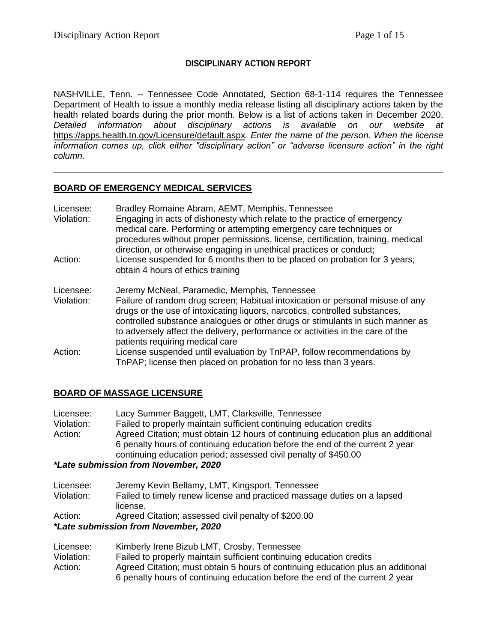## **DISCIPLINARY ACTION REPORT**

NASHVILLE, Tenn. -- Tennessee Code Annotated, Section 68-1-114 requires the Tennessee Department of Health to issue a monthly media release listing all disciplinary actions taken by the health related boards during the prior month. Below is a list of actions taken in December 2020. *Detailed information about disciplinary actions is available on our website at*  <https://apps.health.tn.gov/Licensure/default.aspx>*. Enter the name of the person. When the license information comes up, click either "disciplinary action" or "adverse licensure action" in the right column.*

## **BOARD OF EMERGENCY MEDICAL SERVICES**

| Licensee:<br>Violation: | Bradley Romaine Abram, AEMT, Memphis, Tennessee<br>Engaging in acts of dishonesty which relate to the practice of emergency<br>medical care. Performing or attempting emergency care techniques or<br>procedures without proper permissions, license, certification, training, medical<br>direction, or otherwise engaging in unethical practices or conduct;                                                       |
|-------------------------|---------------------------------------------------------------------------------------------------------------------------------------------------------------------------------------------------------------------------------------------------------------------------------------------------------------------------------------------------------------------------------------------------------------------|
| Action:                 | License suspended for 6 months then to be placed on probation for 3 years;<br>obtain 4 hours of ethics training                                                                                                                                                                                                                                                                                                     |
| Licensee:<br>Violation: | Jeremy McNeal, Paramedic, Memphis, Tennessee<br>Failure of random drug screen; Habitual intoxication or personal misuse of any<br>drugs or the use of intoxicating liquors, narcotics, controlled substances,<br>controlled substance analogues or other drugs or stimulants in such manner as<br>to adversely affect the delivery, performance or activities in the care of the<br>patients requiring medical care |
| Action:                 | License suspended until evaluation by TnPAP, follow recommendations by<br>TnPAP; license then placed on probation for no less than 3 years.                                                                                                                                                                                                                                                                         |

## **BOARD OF MASSAGE LICENSURE**

| Licensee:  | Lacy Summer Baggett, LMT, Clarksville, Tennessee                                 |
|------------|----------------------------------------------------------------------------------|
| Violation: | Failed to properly maintain sufficient continuing education credits              |
| Action:    | Agreed Citation; must obtain 12 hours of continuing education plus an additional |
|            | 6 penalty hours of continuing education before the end of the current 2 year     |
|            | continuing education period; assessed civil penalty of \$450.00                  |
|            |                                                                                  |

### *\*Late submission from November, 2020*

| Licensee:  | Jeremy Kevin Bellamy, LMT, Kingsport, Tennessee                         |
|------------|-------------------------------------------------------------------------|
| Violation: | Failed to timely renew license and practiced massage duties on a lapsed |
|            | license.                                                                |

Action: Agreed Citation; assessed civil penalty of \$200.00

# *\*Late submission from November, 2020*

| Licensee:  | Kimberly Irene Bizub LMT, Crosby, Tennessee                                     |
|------------|---------------------------------------------------------------------------------|
| Violation: | Failed to properly maintain sufficient continuing education credits             |
| Action:    | Agreed Citation; must obtain 5 hours of continuing education plus an additional |
|            | 6 penalty hours of continuing education before the end of the current 2 year    |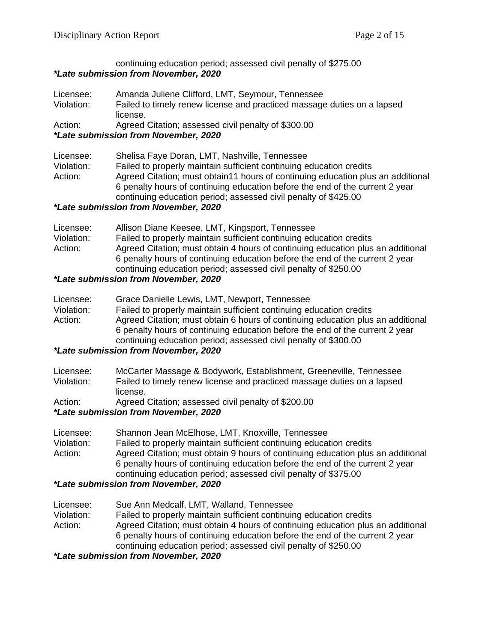#### continuing education period; assessed civil penalty of \$275.00 *\*Late submission from November, 2020*

Licensee: Amanda Juliene Clifford, LMT, Seymour, Tennessee Violation: Failed to timely renew license and practiced massage duties on a lapsed license. Action: Agreed Citation; assessed civil penalty of \$300.00

### *\*Late submission from November, 2020*

| Licensee:  | Shelisa Faye Doran, LMT, Nashville, Tennessee                                    |
|------------|----------------------------------------------------------------------------------|
| Violation: | Failed to properly maintain sufficient continuing education credits              |
| Action:    | Agreed Citation; must obtain 11 hours of continuing education plus an additional |
|            | 6 penalty hours of continuing education before the end of the current 2 year     |
|            | continuing education period; assessed civil penalty of \$425.00                  |
|            |                                                                                  |

### *\*Late submission from November, 2020*

| Licensee:  | Allison Diane Keesee, LMT, Kingsport, Tennessee                                 |
|------------|---------------------------------------------------------------------------------|
| Violation: | Failed to properly maintain sufficient continuing education credits             |
| Action:    | Agreed Citation; must obtain 4 hours of continuing education plus an additional |
|            | 6 penalty hours of continuing education before the end of the current 2 year    |
|            | continuing education period; assessed civil penalty of \$250.00                 |
|            |                                                                                 |

## *\*Late submission from November, 2020*

| Licensee:  | Grace Danielle Lewis, LMT, Newport, Tennessee                                   |
|------------|---------------------------------------------------------------------------------|
| Violation: | Failed to properly maintain sufficient continuing education credits             |
| Action:    | Agreed Citation; must obtain 6 hours of continuing education plus an additional |
|            | 6 penalty hours of continuing education before the end of the current 2 year    |
|            | continuing education period; assessed civil penalty of \$300.00                 |

### *\*Late submission from November, 2020*

| Licensee:  | McCarter Massage & Bodywork, Establishment, Greeneville, Tennessee      |
|------------|-------------------------------------------------------------------------|
| Violation: | Failed to timely renew license and practiced massage duties on a lapsed |
|            | license.                                                                |

Action: Agreed Citation; assessed civil penalty of \$200.00

### *\*Late submission from November, 2020*

| Licensee:  | Shannon Jean McElhose, LMT, Knoxville, Tennessee                                |
|------------|---------------------------------------------------------------------------------|
| Violation: | Failed to properly maintain sufficient continuing education credits             |
| Action:    | Agreed Citation; must obtain 9 hours of continuing education plus an additional |
|            | 6 penalty hours of continuing education before the end of the current 2 year    |
|            | continuing education period; assessed civil penalty of \$375.00                 |
|            |                                                                                 |

### *\*Late submission from November, 2020*

Licensee: Sue Ann Medcalf, LMT, Walland, Tennessee

Violation: Failed to properly maintain sufficient continuing education credits Action: Agreed Citation; must obtain 4 hours of continuing education plus an additional 6 penalty hours of continuing education before the end of the current 2 year

continuing education period; assessed civil penalty of \$250.00

### *\*Late submission from November, 2020*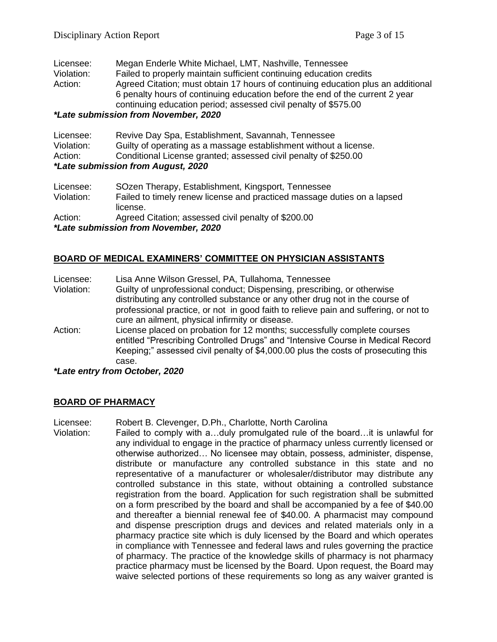| Licensee:  | Megan Enderle White Michael, LMT, Nashville, Tennessee                           |
|------------|----------------------------------------------------------------------------------|
| Violation: | Failed to properly maintain sufficient continuing education credits              |
| Action:    | Agreed Citation; must obtain 17 hours of continuing education plus an additional |
|            | 6 penalty hours of continuing education before the end of the current 2 year     |
|            | continuing education period; assessed civil penalty of \$575.00                  |
|            | *I ata suhmission from Novamber 2020                                             |

#### *\*Late submission from November, 2020*

| Licensee:                          | Revive Day Spa, Establishment, Savannah, Tennessee                |
|------------------------------------|-------------------------------------------------------------------|
| Violation:                         | Guilty of operating as a massage establishment without a license. |
| Action:                            | Conditional License granted; assessed civil penalty of \$250.00   |
| *Late submission from August, 2020 |                                                                   |

| Licensee:  | SOzen Therapy, Establishment, Kingsport, Tennessee                      |
|------------|-------------------------------------------------------------------------|
| Violation: | Failed to timely renew license and practiced massage duties on a lapsed |
|            | license.                                                                |
| Action:    | Agreed Citation; assessed civil penalty of \$200.00                     |
|            | <i>*Late submission from November, 2020</i>                             |

### **BOARD OF MEDICAL EXAMINERS' COMMITTEE ON PHYSICIAN ASSISTANTS**

| Licensee:  | Lisa Anne Wilson Gressel, PA, Tullahoma, Tennessee                                                                                                                                                                                               |
|------------|--------------------------------------------------------------------------------------------------------------------------------------------------------------------------------------------------------------------------------------------------|
| Violation: | Guilty of unprofessional conduct; Dispensing, prescribing, or otherwise                                                                                                                                                                          |
|            | distributing any controlled substance or any other drug not in the course of                                                                                                                                                                     |
|            | professional practice, or not in good faith to relieve pain and suffering, or not to                                                                                                                                                             |
|            | cure an ailment, physical infirmity or disease.                                                                                                                                                                                                  |
| Action:    | License placed on probation for 12 months; successfully complete courses<br>entitled "Prescribing Controlled Drugs" and "Intensive Course in Medical Record<br>Keeping;" assessed civil penalty of \$4,000.00 plus the costs of prosecuting this |
|            |                                                                                                                                                                                                                                                  |
|            | case.                                                                                                                                                                                                                                            |

#### *\*Late entry from October, 2020*

#### **BOARD OF PHARMACY**

Licensee: Robert B. Clevenger, D.Ph., Charlotte, North Carolina

Violation: Failed to comply with a…duly promulgated rule of the board…it is unlawful for any individual to engage in the practice of pharmacy unless currently licensed or otherwise authorized… No licensee may obtain, possess, administer, dispense, distribute or manufacture any controlled substance in this state and no representative of a manufacturer or wholesaler/distributor may distribute any controlled substance in this state, without obtaining a controlled substance registration from the board. Application for such registration shall be submitted on a form prescribed by the board and shall be accompanied by a fee of \$40.00 and thereafter a biennial renewal fee of \$40.00. A pharmacist may compound and dispense prescription drugs and devices and related materials only in a pharmacy practice site which is duly licensed by the Board and which operates in compliance with Tennessee and federal laws and rules governing the practice of pharmacy. The practice of the knowledge skills of pharmacy is not pharmacy practice pharmacy must be licensed by the Board. Upon request, the Board may waive selected portions of these requirements so long as any waiver granted is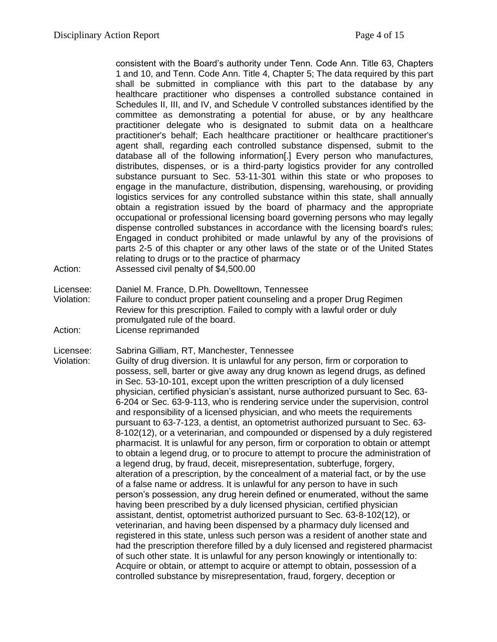consistent with the Board's authority under Tenn. Code Ann. Title 63, Chapters 1 and 10, and Tenn. Code Ann. Title 4, Chapter 5; The data required by this part shall be submitted in compliance with this part to the database by any healthcare practitioner who dispenses a controlled substance contained in Schedules II, III, and IV, and Schedule V controlled substances identified by the committee as demonstrating a potential for abuse, or by any healthcare practitioner delegate who is designated to submit data on a healthcare practitioner's behalf; Each healthcare practitioner or healthcare practitioner's agent shall, regarding each controlled substance dispensed, submit to the database all of the following information[.] Every person who manufactures, distributes, dispenses, or is a third-party logistics provider for any controlled substance pursuant to Sec. 53-11-301 within this state or who proposes to engage in the manufacture, distribution, dispensing, warehousing, or providing logistics services for any controlled substance within this state, shall annually obtain a registration issued by the board of pharmacy and the appropriate occupational or professional licensing board governing persons who may legally dispense controlled substances in accordance with the licensing board's rules; Engaged in conduct prohibited or made unlawful by any of the provisions of parts 2-5 of this chapter or any other laws of the state or of the United States relating to drugs or to the practice of pharmacy

- Action: Assessed civil penalty of \$4,500.00
- Licensee: Daniel M. France, D.Ph. Dowelltown, Tennessee Violation: Failure to conduct proper patient counseling and a proper Drug Regimen Review for this prescription. Failed to comply with a lawful order or duly promulgated rule of the board.
- Action: License reprimanded

Licensee: Sabrina Gilliam, RT, Manchester, Tennessee

Violation: Guilty of drug diversion. It is unlawful for any person, firm or corporation to possess, sell, barter or give away any drug known as legend drugs, as defined in Sec. 53-10-101, except upon the written prescription of a duly licensed physician, certified physician's assistant, nurse authorized pursuant to Sec. 63- 6-204 or Sec. 63-9-113, who is rendering service under the supervision, control and responsibility of a licensed physician, and who meets the requirements pursuant to 63-7-123, a dentist, an optometrist authorized pursuant to Sec. 63- 8-102(12), or a veterinarian, and compounded or dispensed by a duly registered pharmacist. It is unlawful for any person, firm or corporation to obtain or attempt to obtain a legend drug, or to procure to attempt to procure the administration of a legend drug, by fraud, deceit, misrepresentation, subterfuge, forgery, alteration of a prescription, by the concealment of a material fact, or by the use of a false name or address. It is unlawful for any person to have in such person's possession, any drug herein defined or enumerated, without the same having been prescribed by a duly licensed physician, certified physician assistant, dentist, optometrist authorized pursuant to Sec. 63-8-102(12), or veterinarian, and having been dispensed by a pharmacy duly licensed and registered in this state, unless such person was a resident of another state and had the prescription therefore filled by a duly licensed and registered pharmacist of such other state. It is unlawful for any person knowingly or intentionally to: Acquire or obtain, or attempt to acquire or attempt to obtain, possession of a controlled substance by misrepresentation, fraud, forgery, deception or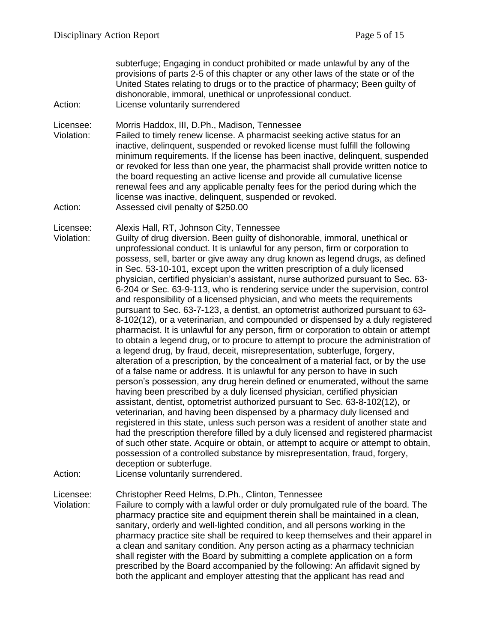subterfuge; Engaging in conduct prohibited or made unlawful by any of the provisions of parts 2-5 of this chapter or any other laws of the state or of the United States relating to drugs or to the practice of pharmacy; Been guilty of dishonorable, immoral, unethical or unprofessional conduct. Action: License voluntarily surrendered

Licensee: Morris Haddox, III, D.Ph., Madison, Tennessee

Violation: Failed to timely renew license. A pharmacist seeking active status for an inactive, delinquent, suspended or revoked license must fulfill the following minimum requirements. If the license has been inactive, delinquent, suspended or revoked for less than one year, the pharmacist shall provide written notice to the board requesting an active license and provide all cumulative license renewal fees and any applicable penalty fees for the period during which the license was inactive, delinquent, suspended or revoked. Action: Assessed civil penalty of \$250.00

Licensee: Alexis Hall, RT, Johnson City, Tennessee

Violation: Guilty of drug diversion. Been guilty of dishonorable, immoral, unethical or unprofessional conduct. It is unlawful for any person, firm or corporation to possess, sell, barter or give away any drug known as legend drugs, as defined in Sec. 53-10-101, except upon the written prescription of a duly licensed physician, certified physician's assistant, nurse authorized pursuant to Sec. 63- 6-204 or Sec. 63-9-113, who is rendering service under the supervision, control and responsibility of a licensed physician, and who meets the requirements pursuant to Sec. 63-7-123, a dentist, an optometrist authorized pursuant to 63- 8-102(12), or a veterinarian, and compounded or dispensed by a duly registered pharmacist. It is unlawful for any person, firm or corporation to obtain or attempt to obtain a legend drug, or to procure to attempt to procure the administration of a legend drug, by fraud, deceit, misrepresentation, subterfuge, forgery, alteration of a prescription, by the concealment of a material fact, or by the use of a false name or address. It is unlawful for any person to have in such person's possession, any drug herein defined or enumerated, without the same having been prescribed by a duly licensed physician, certified physician assistant, dentist, optometrist authorized pursuant to Sec. 63-8-102(12), or veterinarian, and having been dispensed by a pharmacy duly licensed and registered in this state, unless such person was a resident of another state and had the prescription therefore filled by a duly licensed and registered pharmacist of such other state. Acquire or obtain, or attempt to acquire or attempt to obtain, possession of a controlled substance by misrepresentation, fraud, forgery, deception or subterfuge.

Action: License voluntarily surrendered.

Licensee: Christopher Reed Helms, D.Ph., Clinton, Tennessee

Violation: Failure to comply with a lawful order or duly promulgated rule of the board. The pharmacy practice site and equipment therein shall be maintained in a clean, sanitary, orderly and well-lighted condition, and all persons working in the pharmacy practice site shall be required to keep themselves and their apparel in a clean and sanitary condition. Any person acting as a pharmacy technician shall register with the Board by submitting a complete application on a form prescribed by the Board accompanied by the following: An affidavit signed by both the applicant and employer attesting that the applicant has read and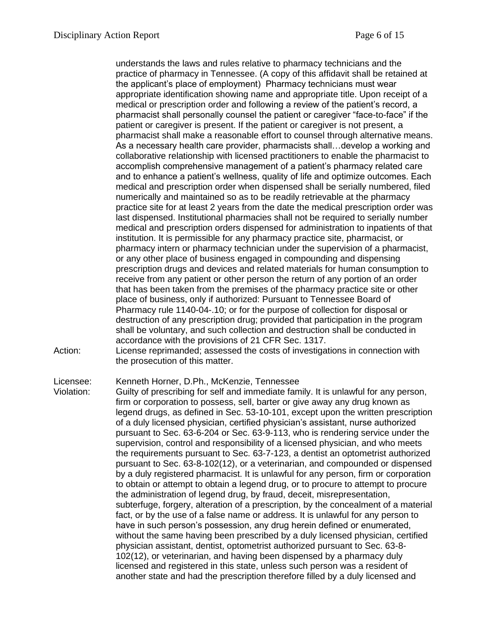understands the laws and rules relative to pharmacy technicians and the practice of pharmacy in Tennessee. (A copy of this affidavit shall be retained at the applicant's place of employment) Pharmacy technicians must wear appropriate identification showing name and appropriate title. Upon receipt of a medical or prescription order and following a review of the patient's record, a pharmacist shall personally counsel the patient or caregiver "face-to-face" if the patient or caregiver is present. If the patient or caregiver is not present, a pharmacist shall make a reasonable effort to counsel through alternative means. As a necessary health care provider, pharmacists shall…develop a working and collaborative relationship with licensed practitioners to enable the pharmacist to accomplish comprehensive management of a patient's pharmacy related care and to enhance a patient's wellness, quality of life and optimize outcomes. Each medical and prescription order when dispensed shall be serially numbered, filed numerically and maintained so as to be readily retrievable at the pharmacy practice site for at least 2 years from the date the medical prescription order was last dispensed. Institutional pharmacies shall not be required to serially number medical and prescription orders dispensed for administration to inpatients of that institution. It is permissible for any pharmacy practice site, pharmacist, or pharmacy intern or pharmacy technician under the supervision of a pharmacist, or any other place of business engaged in compounding and dispensing prescription drugs and devices and related materials for human consumption to receive from any patient or other person the return of any portion of an order that has been taken from the premises of the pharmacy practice site or other place of business, only if authorized: Pursuant to Tennessee Board of Pharmacy rule 1140-04-.10; or for the purpose of collection for disposal or destruction of any prescription drug; provided that participation in the program shall be voluntary, and such collection and destruction shall be conducted in accordance with the provisions of 21 CFR Sec. 1317.

Action: License reprimanded; assessed the costs of investigations in connection with the prosecution of this matter.

Licensee: Kenneth Horner, D.Ph., McKenzie, Tennessee

Violation: Guilty of prescribing for self and immediate family. It is unlawful for any person, firm or corporation to possess, sell, barter or give away any drug known as legend drugs, as defined in Sec. 53-10-101, except upon the written prescription of a duly licensed physician, certified physician's assistant, nurse authorized pursuant to Sec. 63-6-204 or Sec. 63-9-113, who is rendering service under the supervision, control and responsibility of a licensed physician, and who meets the requirements pursuant to Sec. 63-7-123, a dentist an optometrist authorized pursuant to Sec. 63-8-102(12), or a veterinarian, and compounded or dispensed by a duly registered pharmacist. It is unlawful for any person, firm or corporation to obtain or attempt to obtain a legend drug, or to procure to attempt to procure the administration of legend drug, by fraud, deceit, misrepresentation, subterfuge, forgery, alteration of a prescription, by the concealment of a material fact, or by the use of a false name or address. It is unlawful for any person to have in such person's possession, any drug herein defined or enumerated, without the same having been prescribed by a duly licensed physician, certified physician assistant, dentist, optometrist authorized pursuant to Sec. 63-8- 102(12), or veterinarian, and having been dispensed by a pharmacy duly licensed and registered in this state, unless such person was a resident of another state and had the prescription therefore filled by a duly licensed and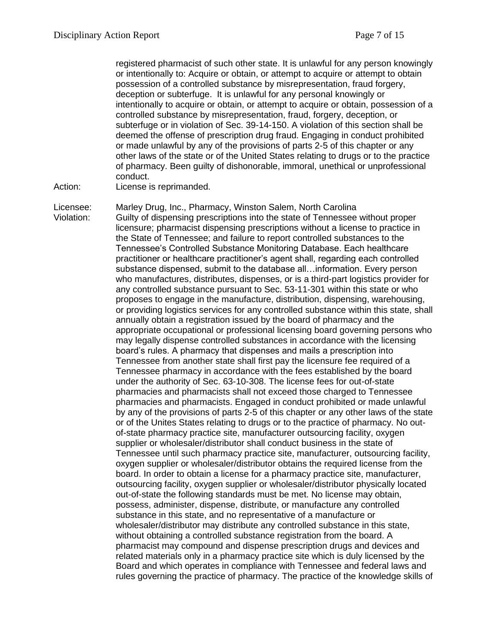registered pharmacist of such other state. It is unlawful for any person knowingly or intentionally to: Acquire or obtain, or attempt to acquire or attempt to obtain possession of a controlled substance by misrepresentation, fraud forgery, deception or subterfuge. It is unlawful for any personal knowingly or intentionally to acquire or obtain, or attempt to acquire or obtain, possession of a controlled substance by misrepresentation, fraud, forgery, deception, or subterfuge or in violation of Sec. 39-14-150. A violation of this section shall be deemed the offense of prescription drug fraud. Engaging in conduct prohibited or made unlawful by any of the provisions of parts 2-5 of this chapter or any other laws of the state or of the United States relating to drugs or to the practice of pharmacy. Been guilty of dishonorable, immoral, unethical or unprofessional conduct.

Action: License is reprimanded.

Licensee: Marley Drug, Inc., Pharmacy, Winston Salem, North Carolina Violation: Guilty of dispensing prescriptions into the state of Tennessee without proper licensure; pharmacist dispensing prescriptions without a license to practice in the State of Tennessee; and failure to report controlled substances to the Tennessee's Controlled Substance Monitoring Database. Each healthcare practitioner or healthcare practitioner's agent shall, regarding each controlled substance dispensed, submit to the database all…information. Every person who manufactures, distributes, dispenses, or is a third-part logistics provider for any controlled substance pursuant to Sec. 53-11-301 within this state or who proposes to engage in the manufacture, distribution, dispensing, warehousing, or providing logistics services for any controlled substance within this state, shall annually obtain a registration issued by the board of pharmacy and the appropriate occupational or professional licensing board governing persons who may legally dispense controlled substances in accordance with the licensing board's rules. A pharmacy that dispenses and mails a prescription into Tennessee from another state shall first pay the licensure fee required of a Tennessee pharmacy in accordance with the fees established by the board under the authority of Sec. 63-10-308. The license fees for out-of-state pharmacies and pharmacists shall not exceed those charged to Tennessee pharmacies and pharmacists. Engaged in conduct prohibited or made unlawful by any of the provisions of parts 2-5 of this chapter or any other laws of the state or of the Unites States relating to drugs or to the practice of pharmacy. No outof-state pharmacy practice site, manufacturer outsourcing facility, oxygen supplier or wholesaler/distributor shall conduct business in the state of Tennessee until such pharmacy practice site, manufacturer, outsourcing facility, oxygen supplier or wholesaler/distributor obtains the required license from the board. In order to obtain a license for a pharmacy practice site, manufacturer, outsourcing facility, oxygen supplier or wholesaler/distributor physically located out-of-state the following standards must be met. No license may obtain, possess, administer, dispense, distribute, or manufacture any controlled substance in this state, and no representative of a manufacture or wholesaler/distributor may distribute any controlled substance in this state, without obtaining a controlled substance registration from the board. A pharmacist may compound and dispense prescription drugs and devices and related materials only in a pharmacy practice site which is duly licensed by the Board and which operates in compliance with Tennessee and federal laws and rules governing the practice of pharmacy. The practice of the knowledge skills of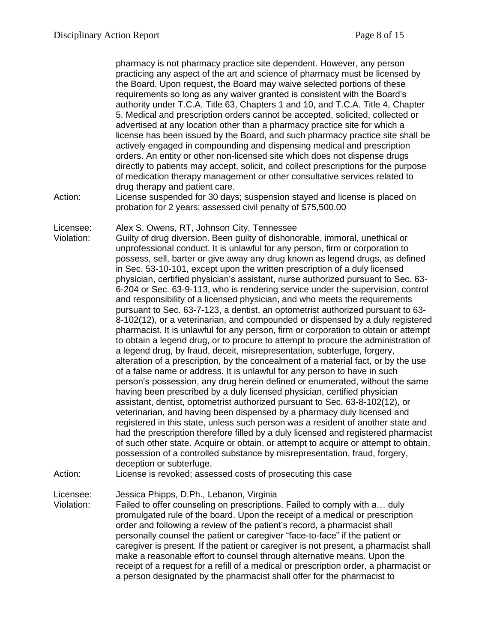pharmacy is not pharmacy practice site dependent. However, any person practicing any aspect of the art and science of pharmacy must be licensed by the Board. Upon request, the Board may waive selected portions of these requirements so long as any waiver granted is consistent with the Board's authority under T.C.A. Title 63, Chapters 1 and 10, and T.C.A. Title 4, Chapter 5. Medical and prescription orders cannot be accepted, solicited, collected or advertised at any location other than a pharmacy practice site for which a license has been issued by the Board, and such pharmacy practice site shall be actively engaged in compounding and dispensing medical and prescription orders. An entity or other non-licensed site which does not dispense drugs directly to patients may accept, solicit, and collect prescriptions for the purpose of medication therapy management or other consultative services related to drug therapy and patient care.

Action: License suspended for 30 days; suspension stayed and license is placed on probation for 2 years; assessed civil penalty of \$75,500.00

Licensee: Alex S. Owens, RT, Johnson City, Tennessee

Violation: Guilty of drug diversion. Been guilty of dishonorable, immoral, unethical or unprofessional conduct. It is unlawful for any person, firm or corporation to possess, sell, barter or give away any drug known as legend drugs, as defined in Sec. 53-10-101, except upon the written prescription of a duly licensed physician, certified physician's assistant, nurse authorized pursuant to Sec. 63- 6-204 or Sec. 63-9-113, who is rendering service under the supervision, control and responsibility of a licensed physician, and who meets the requirements pursuant to Sec. 63-7-123, a dentist, an optometrist authorized pursuant to 63- 8-102(12), or a veterinarian, and compounded or dispensed by a duly registered pharmacist. It is unlawful for any person, firm or corporation to obtain or attempt to obtain a legend drug, or to procure to attempt to procure the administration of a legend drug, by fraud, deceit, misrepresentation, subterfuge, forgery, alteration of a prescription, by the concealment of a material fact, or by the use of a false name or address. It is unlawful for any person to have in such person's possession, any drug herein defined or enumerated, without the same having been prescribed by a duly licensed physician, certified physician assistant, dentist, optometrist authorized pursuant to Sec. 63-8-102(12), or veterinarian, and having been dispensed by a pharmacy duly licensed and registered in this state, unless such person was a resident of another state and had the prescription therefore filled by a duly licensed and registered pharmacist of such other state. Acquire or obtain, or attempt to acquire or attempt to obtain, possession of a controlled substance by misrepresentation, fraud, forgery, deception or subterfuge.

Action: License is revoked; assessed costs of prosecuting this case

Licensee: Jessica Phipps, D.Ph., Lebanon, Virginia

Violation: Failed to offer counseling on prescriptions. Failed to comply with a… duly promulgated rule of the board. Upon the receipt of a medical or prescription order and following a review of the patient's record, a pharmacist shall personally counsel the patient or caregiver "face-to-face" if the patient or caregiver is present. If the patient or caregiver is not present, a pharmacist shall make a reasonable effort to counsel through alternative means. Upon the receipt of a request for a refill of a medical or prescription order, a pharmacist or a person designated by the pharmacist shall offer for the pharmacist to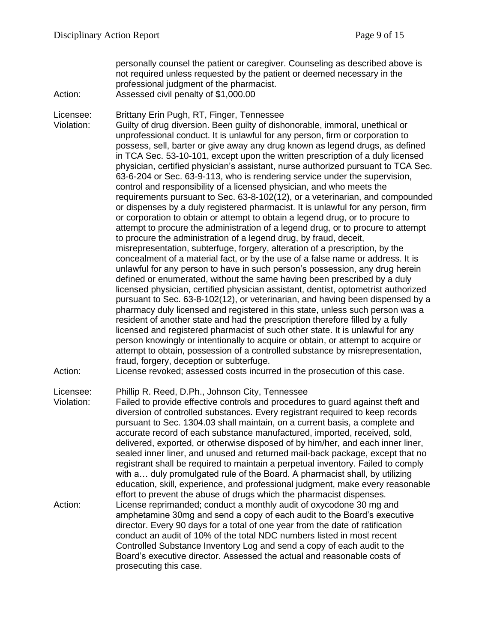personally counsel the patient or caregiver. Counseling as described above is not required unless requested by the patient or deemed necessary in the professional judgment of the pharmacist. Action: Assessed civil penalty of \$1,000.00

Licensee: Brittany Erin Pugh, RT, Finger, Tennessee

Violation: Guilty of drug diversion. Been guilty of dishonorable, immoral, unethical or unprofessional conduct. It is unlawful for any person, firm or corporation to possess, sell, barter or give away any drug known as legend drugs, as defined in TCA Sec. 53-10-101, except upon the written prescription of a duly licensed physician, certified physician's assistant, nurse authorized pursuant to TCA Sec. 63-6-204 or Sec. 63-9-113, who is rendering service under the supervision, control and responsibility of a licensed physician, and who meets the requirements pursuant to Sec. 63-8-102(12), or a veterinarian, and compounded or dispenses by a duly registered pharmacist. It is unlawful for any person, firm or corporation to obtain or attempt to obtain a legend drug, or to procure to attempt to procure the administration of a legend drug, or to procure to attempt to procure the administration of a legend drug, by fraud, deceit, misrepresentation, subterfuge, forgery, alteration of a prescription, by the concealment of a material fact, or by the use of a false name or address. It is unlawful for any person to have in such person's possession, any drug herein defined or enumerated, without the same having been prescribed by a duly licensed physician, certified physician assistant, dentist, optometrist authorized pursuant to Sec. 63-8-102(12), or veterinarian, and having been dispensed by a pharmacy duly licensed and registered in this state, unless such person was a resident of another state and had the prescription therefore filled by a fully licensed and registered pharmacist of such other state. It is unlawful for any person knowingly or intentionally to acquire or obtain, or attempt to acquire or attempt to obtain, possession of a controlled substance by misrepresentation, fraud, forgery, deception or subterfuge.

Action: License revoked; assessed costs incurred in the prosecution of this case.

Licensee: Phillip R. Reed, D.Ph., Johnson City, Tennessee

Violation: Failed to provide effective controls and procedures to guard against theft and diversion of controlled substances. Every registrant required to keep records pursuant to Sec. 1304.03 shall maintain, on a current basis, a complete and accurate record of each substance manufactured, imported, received, sold, delivered, exported, or otherwise disposed of by him/her, and each inner liner, sealed inner liner, and unused and returned mail-back package, except that no registrant shall be required to maintain a perpetual inventory. Failed to comply with a… duly promulgated rule of the Board. A pharmacist shall, by utilizing education, skill, experience, and professional judgment, make every reasonable effort to prevent the abuse of drugs which the pharmacist dispenses. Action: License reprimanded; conduct a monthly audit of oxycodone 30 mg and amphetamine 30mg and send a copy of each audit to the Board's executive director. Every 90 days for a total of one year from the date of ratification conduct an audit of 10% of the total NDC numbers listed in most recent Controlled Substance Inventory Log and send a copy of each audit to the Board's executive director. Assessed the actual and reasonable costs of prosecuting this case.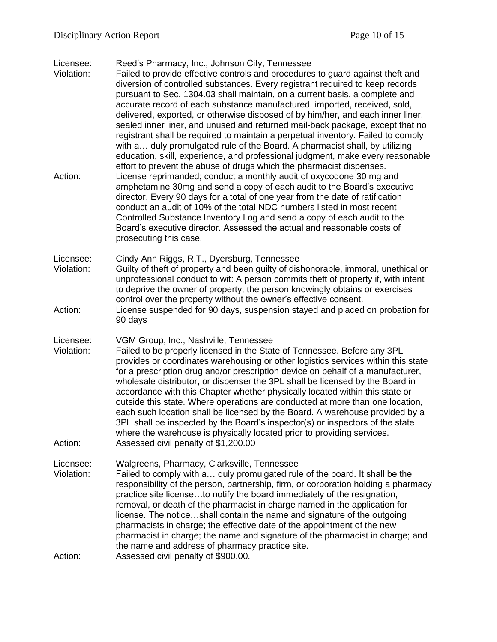#### Licensee: Reed's Pharmacy, Inc., Johnson City, Tennessee

- Violation: Failed to provide effective controls and procedures to guard against theft and diversion of controlled substances. Every registrant required to keep records pursuant to Sec. 1304.03 shall maintain, on a current basis, a complete and accurate record of each substance manufactured, imported, received, sold, delivered, exported, or otherwise disposed of by him/her, and each inner liner, sealed inner liner, and unused and returned mail-back package, except that no registrant shall be required to maintain a perpetual inventory. Failed to comply with a… duly promulgated rule of the Board. A pharmacist shall, by utilizing education, skill, experience, and professional judgment, make every reasonable effort to prevent the abuse of drugs which the pharmacist dispenses. Action: License reprimanded; conduct a monthly audit of oxycodone 30 mg and amphetamine 30mg and send a copy of each audit to the Board's executive director. Every 90 days for a total of one year from the date of ratification conduct an audit of 10% of the total NDC numbers listed in most recent Controlled Substance Inventory Log and send a copy of each audit to the Board's executive director. Assessed the actual and reasonable costs of prosecuting this case. Licensee: Cindy Ann Riggs, R.T., Dyersburg, Tennessee Violation: Guilty of theft of property and been guilty of dishonorable, immoral, unethical or unprofessional conduct to wit: A person commits theft of property if, with intent to deprive the owner of property, the person knowingly obtains or exercises control over the property without the owner's effective consent. Action: License suspended for 90 days, suspension stayed and placed on probation for 90 days Licensee: VGM Group, Inc., Nashville, Tennessee Violation: Failed to be properly licensed in the State of Tennessee. Before any 3PL provides or coordinates warehousing or other logistics services within this state for a prescription drug and/or prescription device on behalf of a manufacturer, wholesale distributor, or dispenser the 3PL shall be licensed by the Board in accordance with this Chapter whether physically located within this state or outside this state. Where operations are conducted at more than one location, each such location shall be licensed by the Board. A warehouse provided by a 3PL shall be inspected by the Board's inspector(s) or inspectors of the state
- where the warehouse is physically located prior to providing services. Action: Assessed civil penalty of \$1,200.00
- Licensee: Walgreens, Pharmacy, Clarksville, Tennessee Violation: Failed to comply with a… duly promulgated rule of the board. It shall be the responsibility of the person, partnership, firm, or corporation holding a pharmacy practice site license…to notify the board immediately of the resignation, removal, or death of the pharmacist in charge named in the application for license. The notice…shall contain the name and signature of the outgoing pharmacists in charge; the effective date of the appointment of the new pharmacist in charge; the name and signature of the pharmacist in charge; and the name and address of pharmacy practice site. Action: Assessed civil penalty of \$900.00.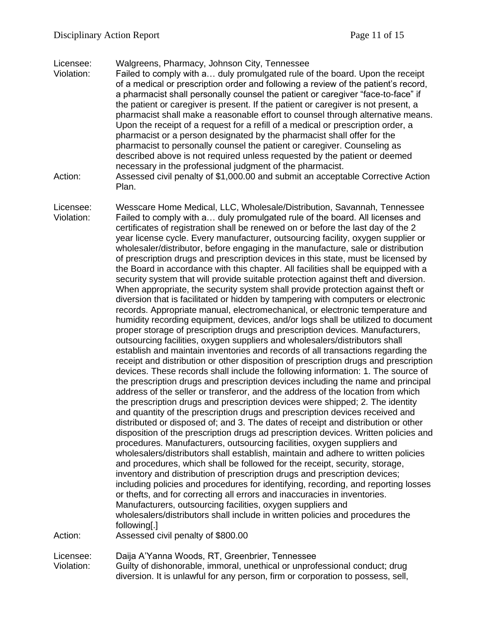Licensee: Walgreens, Pharmacy, Johnson City, Tennessee

- Violation: Failed to comply with a… duly promulgated rule of the board. Upon the receipt of a medical or prescription order and following a review of the patient's record, a pharmacist shall personally counsel the patient or caregiver "face-to-face" if the patient or caregiver is present. If the patient or caregiver is not present, a pharmacist shall make a reasonable effort to counsel through alternative means. Upon the receipt of a request for a refill of a medical or prescription order, a pharmacist or a person designated by the pharmacist shall offer for the pharmacist to personally counsel the patient or caregiver. Counseling as described above is not required unless requested by the patient or deemed necessary in the professional judgment of the pharmacist.
- Action: Assessed civil penalty of \$1,000.00 and submit an acceptable Corrective Action Plan.
- Licensee: Wesscare Home Medical, LLC, Wholesale/Distribution, Savannah, Tennessee Violation: Failed to comply with a… duly promulgated rule of the board. All licenses and certificates of registration shall be renewed on or before the last day of the 2 year license cycle. Every manufacturer, outsourcing facility, oxygen supplier or wholesaler/distributor, before engaging in the manufacture, sale or distribution of prescription drugs and prescription devices in this state, must be licensed by the Board in accordance with this chapter. All facilities shall be equipped with a security system that will provide suitable protection against theft and diversion. When appropriate, the security system shall provide protection against theft or diversion that is facilitated or hidden by tampering with computers or electronic records. Appropriate manual, electromechanical, or electronic temperature and humidity recording equipment, devices, and/or logs shall be utilized to document proper storage of prescription drugs and prescription devices. Manufacturers, outsourcing facilities, oxygen suppliers and wholesalers/distributors shall establish and maintain inventories and records of all transactions regarding the receipt and distribution or other disposition of prescription drugs and prescription devices. These records shall include the following information: 1. The source of the prescription drugs and prescription devices including the name and principal address of the seller or transferor, and the address of the location from which the prescription drugs and prescription devices were shipped; 2. The identity and quantity of the prescription drugs and prescription devices received and distributed or disposed of; and 3. The dates of receipt and distribution or other disposition of the prescription drugs ad prescription devices. Written policies and procedures. Manufacturers, outsourcing facilities, oxygen suppliers and wholesalers/distributors shall establish, maintain and adhere to written policies and procedures, which shall be followed for the receipt, security, storage, inventory and distribution of prescription drugs and prescription devices; including policies and procedures for identifying, recording, and reporting losses or thefts, and for correcting all errors and inaccuracies in inventories. Manufacturers, outsourcing facilities, oxygen suppliers and wholesalers/distributors shall include in written policies and procedures the following[.] Action: Assessed civil penalty of \$800.00 Licensee: Daija A'Yanna Woods, RT, Greenbrier, Tennessee
- Violation: Guilty of dishonorable, immoral, unethical or unprofessional conduct; drug diversion. It is unlawful for any person, firm or corporation to possess, sell,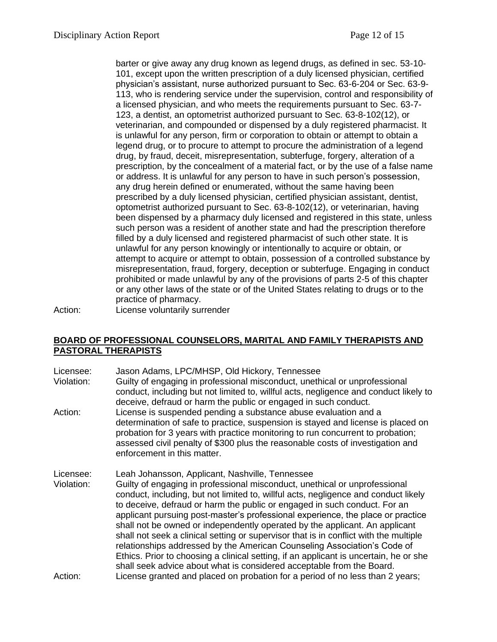barter or give away any drug known as legend drugs, as defined in sec. 53-10- 101, except upon the written prescription of a duly licensed physician, certified physician's assistant, nurse authorized pursuant to Sec. 63-6-204 or Sec. 63-9- 113, who is rendering service under the supervision, control and responsibility of a licensed physician, and who meets the requirements pursuant to Sec. 63-7- 123, a dentist, an optometrist authorized pursuant to Sec. 63-8-102(12), or veterinarian, and compounded or dispensed by a duly registered pharmacist. It is unlawful for any person, firm or corporation to obtain or attempt to obtain a legend drug, or to procure to attempt to procure the administration of a legend drug, by fraud, deceit, misrepresentation, subterfuge, forgery, alteration of a prescription, by the concealment of a material fact, or by the use of a false name or address. It is unlawful for any person to have in such person's possession, any drug herein defined or enumerated, without the same having been prescribed by a duly licensed physician, certified physician assistant, dentist, optometrist authorized pursuant to Sec. 63-8-102(12), or veterinarian, having been dispensed by a pharmacy duly licensed and registered in this state, unless such person was a resident of another state and had the prescription therefore filled by a duly licensed and registered pharmacist of such other state. It is unlawful for any person knowingly or intentionally to acquire or obtain, or attempt to acquire or attempt to obtain, possession of a controlled substance by misrepresentation, fraud, forgery, deception or subterfuge. Engaging in conduct prohibited or made unlawful by any of the provisions of parts 2-5 of this chapter or any other laws of the state or of the United States relating to drugs or to the practice of pharmacy.

Action: License voluntarily surrender

### **BOARD OF PROFESSIONAL COUNSELORS, MARITAL AND FAMILY THERAPISTS AND PASTORAL THERAPISTS**

Licensee: Jason Adams, LPC/MHSP, Old Hickory, Tennessee

- Violation: Guilty of engaging in professional misconduct, unethical or unprofessional conduct, including but not limited to, willful acts, negligence and conduct likely to deceive, defraud or harm the public or engaged in such conduct.
- Action: License is suspended pending a substance abuse evaluation and a determination of safe to practice, suspension is stayed and license is placed on probation for 3 years with practice monitoring to run concurrent to probation; assessed civil penalty of \$300 plus the reasonable costs of investigation and enforcement in this matter.

Licensee: Leah Johansson, Applicant, Nashville, Tennessee Violation: Guilty of engaging in professional misconduct, unethical or unprofessional conduct, including, but not limited to, willful acts, negligence and conduct likely to deceive, defraud or harm the public or engaged in such conduct. For an applicant pursuing post-master's professional experience, the place or practice shall not be owned or independently operated by the applicant. An applicant shall not seek a clinical setting or supervisor that is in conflict with the multiple relationships addressed by the American Counseling Association's Code of Ethics. Prior to choosing a clinical setting, if an applicant is uncertain, he or she shall seek advice about what is considered acceptable from the Board. Action: License granted and placed on probation for a period of no less than 2 years;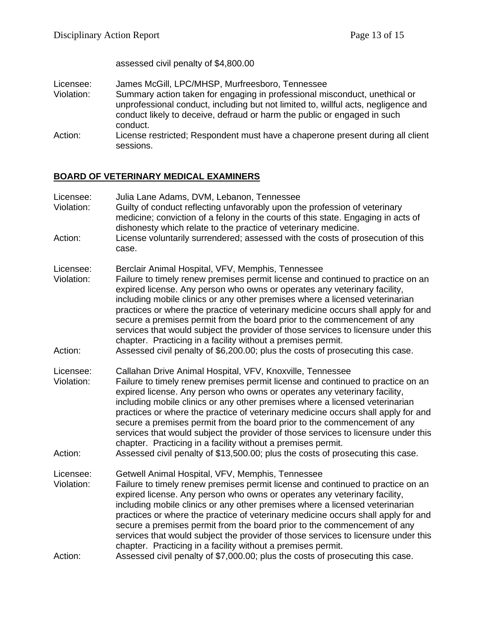assessed civil penalty of \$4,800.00

- Licensee: James McGill, LPC/MHSP, Murfreesboro, Tennessee<br>Violation: Summary action taken for engaging in professional mi Summary action taken for engaging in professional misconduct, unethical or unprofessional conduct, including but not limited to, willful acts, negligence and conduct likely to deceive, defraud or harm the public or engaged in such conduct.
- Action: License restricted; Respondent must have a chaperone present during all client sessions.

## **BOARD OF VETERINARY MEDICAL EXAMINERS**

| Licensee:<br>Violation:<br>Action: | Julia Lane Adams, DVM, Lebanon, Tennessee<br>Guilty of conduct reflecting unfavorably upon the profession of veterinary<br>medicine; conviction of a felony in the courts of this state. Engaging in acts of<br>dishonesty which relate to the practice of veterinary medicine.<br>License voluntarily surrendered; assessed with the costs of prosecution of this<br>case.                                                                                                                                                                                                                                                                                                                                         |  |
|------------------------------------|---------------------------------------------------------------------------------------------------------------------------------------------------------------------------------------------------------------------------------------------------------------------------------------------------------------------------------------------------------------------------------------------------------------------------------------------------------------------------------------------------------------------------------------------------------------------------------------------------------------------------------------------------------------------------------------------------------------------|--|
| Licensee:<br>Violation:<br>Action: | Berclair Animal Hospital, VFV, Memphis, Tennessee<br>Failure to timely renew premises permit license and continued to practice on an<br>expired license. Any person who owns or operates any veterinary facility,<br>including mobile clinics or any other premises where a licensed veterinarian<br>practices or where the practice of veterinary medicine occurs shall apply for and<br>secure a premises permit from the board prior to the commencement of any<br>services that would subject the provider of those services to licensure under this<br>chapter. Practicing in a facility without a premises permit.<br>Assessed civil penalty of \$6,200.00; plus the costs of prosecuting this case.          |  |
| Licensee:<br>Violation:<br>Action: | Callahan Drive Animal Hospital, VFV, Knoxville, Tennessee<br>Failure to timely renew premises permit license and continued to practice on an<br>expired license. Any person who owns or operates any veterinary facility,<br>including mobile clinics or any other premises where a licensed veterinarian<br>practices or where the practice of veterinary medicine occurs shall apply for and<br>secure a premises permit from the board prior to the commencement of any<br>services that would subject the provider of those services to licensure under this<br>chapter. Practicing in a facility without a premises permit.<br>Assessed civil penalty of \$13,500.00; plus the costs of prosecuting this case. |  |
| Licensee:<br>Violation:            | Getwell Animal Hospital, VFV, Memphis, Tennessee<br>Failure to timely renew premises permit license and continued to practice on an<br>expired license. Any person who owns or operates any veterinary facility,<br>including mobile clinics or any other premises where a licensed veterinarian<br>practices or where the practice of veterinary medicine occurs shall apply for and<br>secure a premises permit from the board prior to the commencement of any<br>services that would subject the provider of those services to licensure under this<br>chapter. Practicing in a facility without a premises permit.                                                                                             |  |
| Action:                            | Assessed civil penalty of \$7,000.00; plus the costs of prosecuting this case.                                                                                                                                                                                                                                                                                                                                                                                                                                                                                                                                                                                                                                      |  |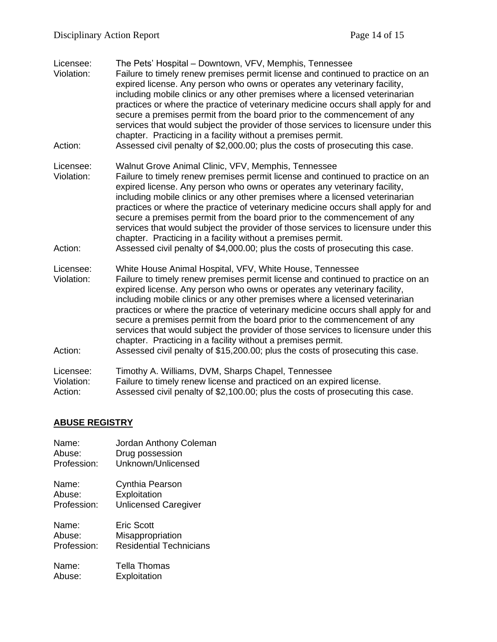| Licensee:<br>Violation:<br>Action: | The Pets' Hospital - Downtown, VFV, Memphis, Tennessee<br>Failure to timely renew premises permit license and continued to practice on an<br>expired license. Any person who owns or operates any veterinary facility,<br>including mobile clinics or any other premises where a licensed veterinarian<br>practices or where the practice of veterinary medicine occurs shall apply for and<br>secure a premises permit from the board prior to the commencement of any<br>services that would subject the provider of those services to licensure under this<br>chapter. Practicing in a facility without a premises permit.<br>Assessed civil penalty of \$2,000.00; plus the costs of prosecuting this case.    |
|------------------------------------|--------------------------------------------------------------------------------------------------------------------------------------------------------------------------------------------------------------------------------------------------------------------------------------------------------------------------------------------------------------------------------------------------------------------------------------------------------------------------------------------------------------------------------------------------------------------------------------------------------------------------------------------------------------------------------------------------------------------|
| Licensee:<br>Violation:<br>Action: | Walnut Grove Animal Clinic, VFV, Memphis, Tennessee<br>Failure to timely renew premises permit license and continued to practice on an<br>expired license. Any person who owns or operates any veterinary facility,<br>including mobile clinics or any other premises where a licensed veterinarian<br>practices or where the practice of veterinary medicine occurs shall apply for and<br>secure a premises permit from the board prior to the commencement of any<br>services that would subject the provider of those services to licensure under this<br>chapter. Practicing in a facility without a premises permit.<br>Assessed civil penalty of \$4,000.00; plus the costs of prosecuting this case.       |
| Licensee:<br>Violation:<br>Action: | White House Animal Hospital, VFV, White House, Tennessee<br>Failure to timely renew premises permit license and continued to practice on an<br>expired license. Any person who owns or operates any veterinary facility,<br>including mobile clinics or any other premises where a licensed veterinarian<br>practices or where the practice of veterinary medicine occurs shall apply for and<br>secure a premises permit from the board prior to the commencement of any<br>services that would subject the provider of those services to licensure under this<br>chapter. Practicing in a facility without a premises permit.<br>Assessed civil penalty of \$15,200.00; plus the costs of prosecuting this case. |
| Licensee:<br>Violation:<br>Action: | Timothy A. Williams, DVM, Sharps Chapel, Tennessee<br>Failure to timely renew license and practiced on an expired license.<br>Assessed civil penalty of \$2,100.00; plus the costs of prosecuting this case.                                                                                                                                                                                                                                                                                                                                                                                                                                                                                                       |

# **ABUSE REGISTRY**

| Name:             | Jordan Anthony Coleman         |
|-------------------|--------------------------------|
| Abuse:            | Drug possession                |
| Profession:       | Unknown/Unlicensed             |
| Name:             | Cynthia Pearson                |
| Abuse:            | Exploitation                   |
| Profession:       | <b>Unlicensed Caregiver</b>    |
| Name <sup>.</sup> | <b>Eric Scott</b>              |
| Abuse:            | Misappropriation               |
| Profession:       | <b>Residential Technicians</b> |
| Name:             | Tella Thomas                   |
| Abuse:            | Exploitation                   |